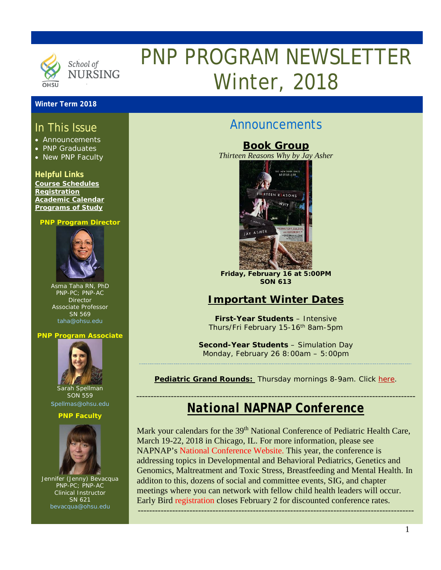

# PNP PROGRAM NEWSLETTER Winter, 2018

### **Winter Term 2018**

# In This Issue

- Announcements
- PNP Graduates
- New PNP Faculty

### **Helpful Links**

**[Course Schedules](http://www.ohsu.edu/xd/education/schools/school-of-nursing/students/academic-affairs/course-schedule.cfm) [Registration](http://www.ohsu.edu/xd/education/schools/school-of-nursing/students/registration_records.cfm) [Academic Calendar](http://www.ohsu.edu/xd/education/student-services/registrar/registrar-forms/index.cfm) [Programs of Study](http://www.ohsu.edu/xd/education/schools/school-of-nursing/programs/programs-of-study-page.cfm?WT_rank=1)**

#### **PNP Program Director**



Asma Taha RN, PhD PNP-PC; PNP-AC Director Associate Professor SN 569 [taha@ohsu.edu](mailto:taha@ohsu.edu)

#### **PNP Program Associate**



Sarah Spellman SON 559 [spellmas@ohsu.edu](mailto:spellmas@ohsu.edu)

#### **PNP Faculty**



Jennifer (Jenny) Bevacqua PNP-PC; PNP-AC Clinical Instructor SN 621 [bevacqua@ohsu.edu](mailto:bevacqua@ohsu.edu)

# Announcements

**Book Group** *Thirteen Reasons Why by Jay Asher*



**Friday, February 16 at 5:00PM SON 613**

# **Important Winter Dates**

*First-Year Students – Intensive Thurs/Fri February 15-16th 8am-5pm*

*Second-Year Students – Simulation Day* Monday, February 26 8:00am – 5:00pm

**Pediatric Grand Rounds:** Thursday mornings 8-9am. Click [here.](http://www.ohsu.edu/xd/health/services/doernbecher/healthcare-professionals/continuing-education/grand-rounds-schedule/calendar.cfm)

## ------------------------------------------------------------------------------------------------- *National NAPNAP Conference*

Mark your calendars for the 39<sup>th</sup> National Conference of Pediatric Health Care, March 19-22, 2018 in Chicago, IL. For more information, please see NAPNAP's [National Conference Website.](https://www.napnap.org/national-conference) This year, the conference is addressing topics in Developmental and Behavioral Pediatrics, Genetics and Genomics, Maltreatment and Toxic Stress, Breastfeeding and Mental Health. In additon to this, dozens of social and committee events, SIG, and chapter meetings where you can network with fellow child health leaders will occur. Early Bird [registration](https://www.napnap.org/conference-registration) closes February 2 for discounted conference rates.

------------------------------------------------------------------------------------------------